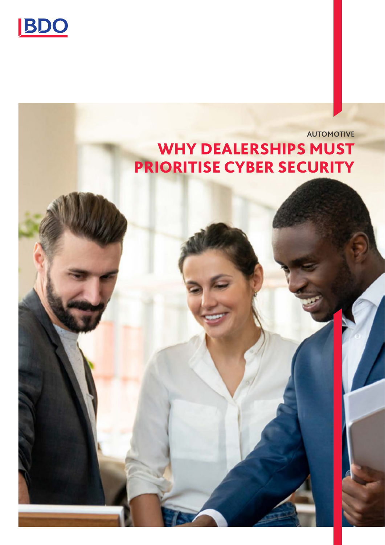

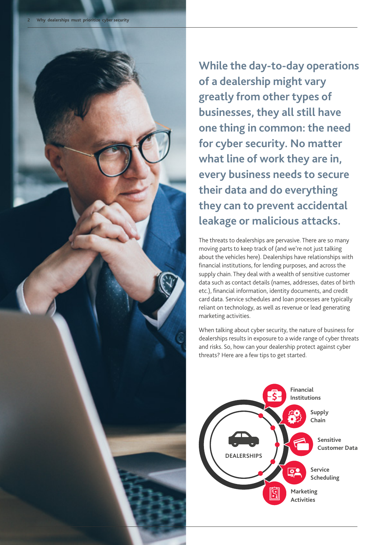

**While the day-to-day operations of a dealership might vary greatly from other types of businesses, they all still have one thing in common: the need for cyber security. No matter what line of work they are in, every business needs to secure their data and do everything they can to prevent accidental leakage or malicious attacks.** 

The threats to dealerships are pervasive. There are so many moving parts to keep track of (and we're not just talking about the vehicles here). Dealerships have relationships with financial institutions, for lending purposes, and across the supply chain. They deal with a wealth of sensitive customer data such as contact details (names, addresses, dates of birth etc.), financial information, identity documents, and credit card data. Service schedules and loan processes are typically reliant on technology, as well as revenue or lead generating marketing activities.

When talking about cyber security, the nature of business for dealerships results in exposure to a wide range of cyber threats and risks. So, how can your dealership protect against cyber threats? Here are a few tips to get started.

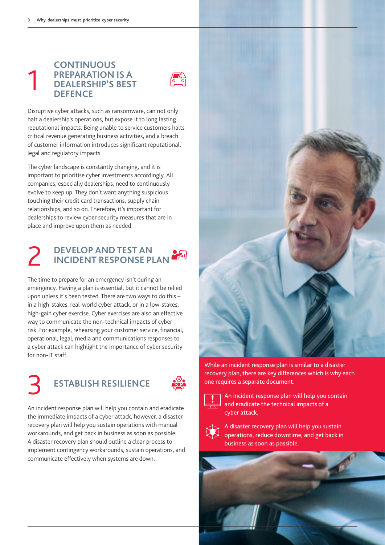#### **CONTINUOUS PREPARATION IS A DEALERSHIP'S BEST DEFENCE**  1



Disruptive cyber attacks, such as ransomware, can not only halt a dealership's operations, but expose it to long lasting reputational impacts. Being unable to service customers halts critical revenue generating business activities, and a breach of customer information introduces significant reputational, legal and regulatory impacts.

The cyber landscape is constantly changing, and it is important to prioritise cyber investments accordingly. All companies, especially dealerships, need to continuously evolve to keep up. They don't want anything suspicious touching their credit card transactions, supply chain relationships, and so on. Therefore, it's important for dealerships to review cyber security measures that are in place and improve upon them as needed.

# **DEVELOP AND TEST AN** 2 **INCIDENT RESPONSE PLAN**

The time to prepare for an emergency isn't during an emergency. Having a plan is essential, but it cannot be relied upon unless it's been tested. There are two ways to do this – in a high-stakes, real-world cyber attack, or in a low-stakes, high-gain cyber exercise. Cyber exercises are also an effective way to communicate the non-technical impacts of cyber risk. For example, rehearsing your customer service, financial, operational, legal, media and communications responses to a cyber attack can highlight the importance of cyber security for non-IT staff.

## 3 **ESTABLISH RESILIENCE**



An incident response plan will help you contain and eradicate the immediate impacts of a cyber attack, however, a disaster recovery plan will help you sustain operations with manual workarounds, and get back in business as soon as possible. A disaster recovery plan should outline a clear process to implement contingency workarounds, sustain operations, and communicate effectively when systems are down.



While an incident response plan is similar to a disaster recovery plan, there are key differences which is why each one requires a separate document.



An incident response plan will help you contain and eradicate the technical impacts of a cyber attack.



A disaster recovery plan will help you sustain operations, reduce downtime, and get back in business as soon as possible.

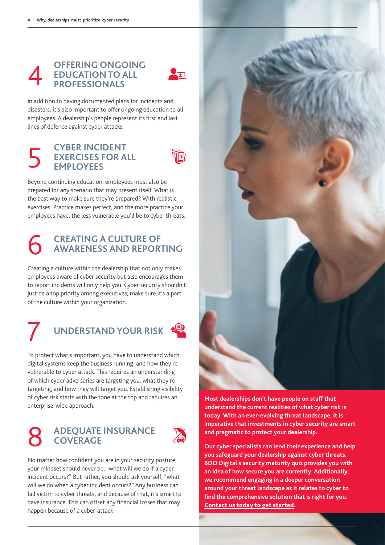### **OFFERING ONGOING EDUCATION TO ALL PROFESSIONALS**



In addition to having documented plans for incidents and disasters, it's also important to offer ongoing education to all employees. A dealership's people represent its first and last lines of defence against cyber attacks.

### **CYBER INCIDENT EXERCISES FOR ALL** 5 **EMPLOYEES**



Beyond continuing education, employees must also be prepared for any scenario that may present itself. What is the best way to make sure they're prepared? With realistic exercises. Practice makes perfect, and the more practice your employees have, the less vulnerable you'll be to cyber threats.

# **CREATING A CULTURE OF** 6 **AWARENESS AND REPORTING**

Creating a culture within the dealership that not only makes employees aware of cyber security but also encourages them to report incidents will only help you. Cyber security shouldn't just be a top priority among executives; make sure it's a part of the culture within your organization.

## **UNDERSTAND YOUR RISK**

To protect what's important, you have to understand which digital systems keep the business running, and how they're vulnerable to cyber attack. This requires an understanding of which cyber adversaries are targeting you, what they're targeting, and how they will target you. Establishing visibility of cyber risk starts with the tone at the top and requires an enterprise-wide approach.

# **ADEQUATE INSURANCE**<br>**COVERAGE**



No matter how confident you are in your security posture, your mindset should never be, "what will we do if a cyber incident occurs?" But rather, you should ask yourself, "what will we do when a cyber incident occurs?" Any business can fall victim to cyber threats, and because of that, it's smart to have insurance. This can offset any financial losses that may happen because of a cyber-attack.



**Most dealerships don't have people on staff that understand the current realities of what cyber risk is today. With an ever-evolving threat landscape, it is imperative that investments in cyber security are smart and pragmatic to protect your dealership.** 

**Our cyber specialists can lend their experience and help you safeguard your dealership against cyber threats. BDO Digital's security maturity quiz provides you with an idea of how secure you are currently. Additionally, we recommend engaging in a deeper conversation around your threat landscape as it relates to cyber to find the comprehensive solution that is right for you.**  [Contact us today to get started.](https://www.bdo.com.au/en-au/our-people?businessline=003272&servicearea=030883#main_content)